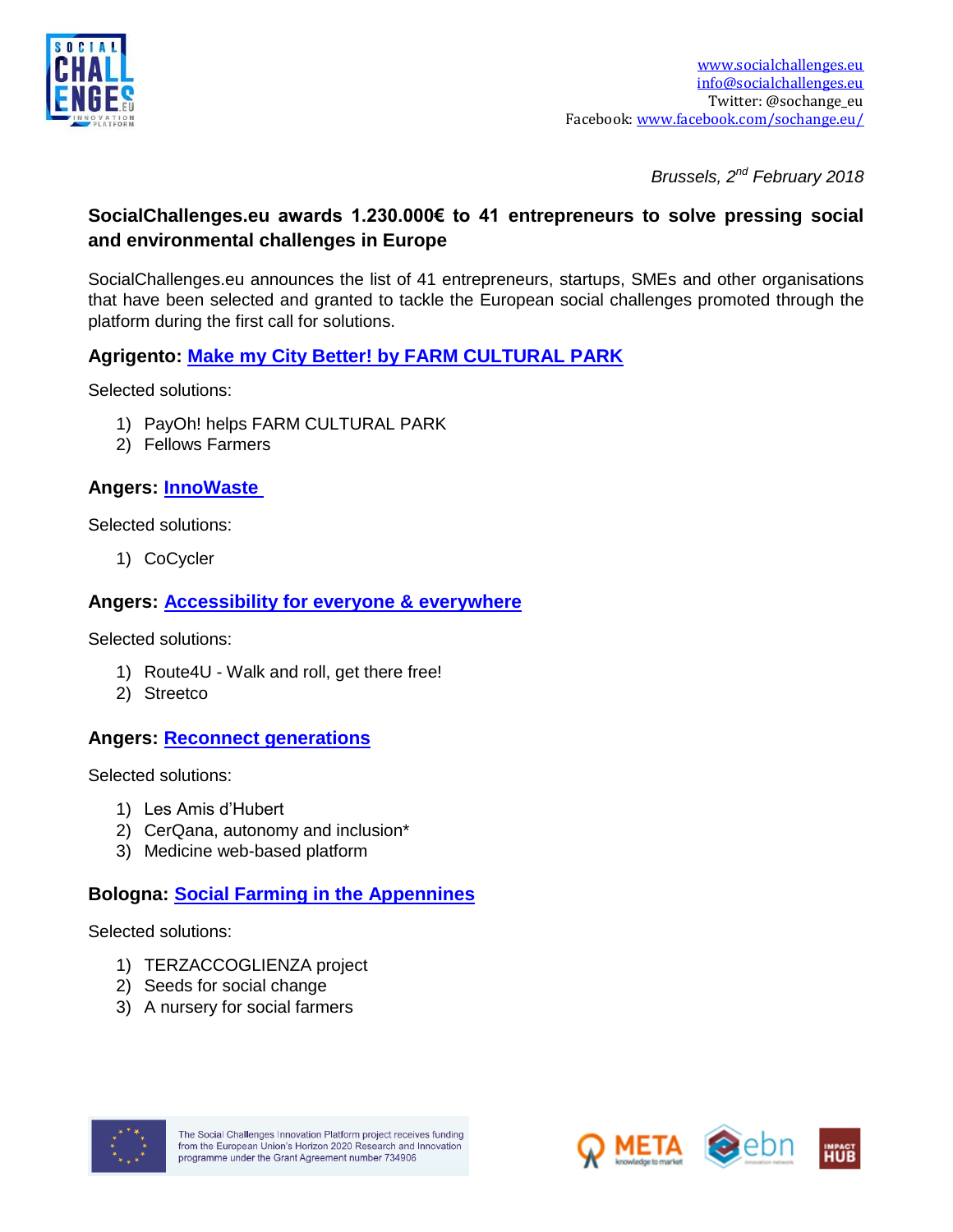

*Brussels, 2nd February 2018*

### **SocialChallenges.eu awards 1.230.000€ to 41 entrepreneurs to solve pressing social and environmental challenges in Europe**

SocialChallenges.eu announces the list of 41 entrepreneurs, startups, SMEs and other organisations that have been selected and granted to tackle the European social challenges promoted through the platform during the first call for solutions.

### **Agrigento: [Make my City Better! by FARM CULTURAL PARK](https://www.socialchallenges.eu/city/35/Challenges/44)**

Selected solutions:

- 1) PayOh! helps FARM CULTURAL PARK
- 2) Fellows Farmers

**Angers: [InnoWaste](https://www.socialchallenges.eu/city/30/Challenges/18)**

Selected solutions:

1) CoCycler

# **Angers: [Accessibility for everyone & everywhere](https://www.socialchallenges.eu/city/30/Challenges/19)**

Selected solutions:

- 1) Route4U Walk and roll, get there free!
- 2) Streetco

### **Angers: [Reconnect generations](https://www.socialchallenges.eu/city/30/Challenges/20)**

Selected solutions:

- 1) Les Amis d'Hubert
- 2) CerQana, autonomy and inclusion\*
- 3) Medicine web-based platform

### **Bologna: [Social Farming in the Appennines](https://www.socialchallenges.eu/city/25/Challenges/39)**

Selected solutions:

- 1) TERZACCOGLIENZA project
- 2) Seeds for social change
- 3) A nursery for social farmers



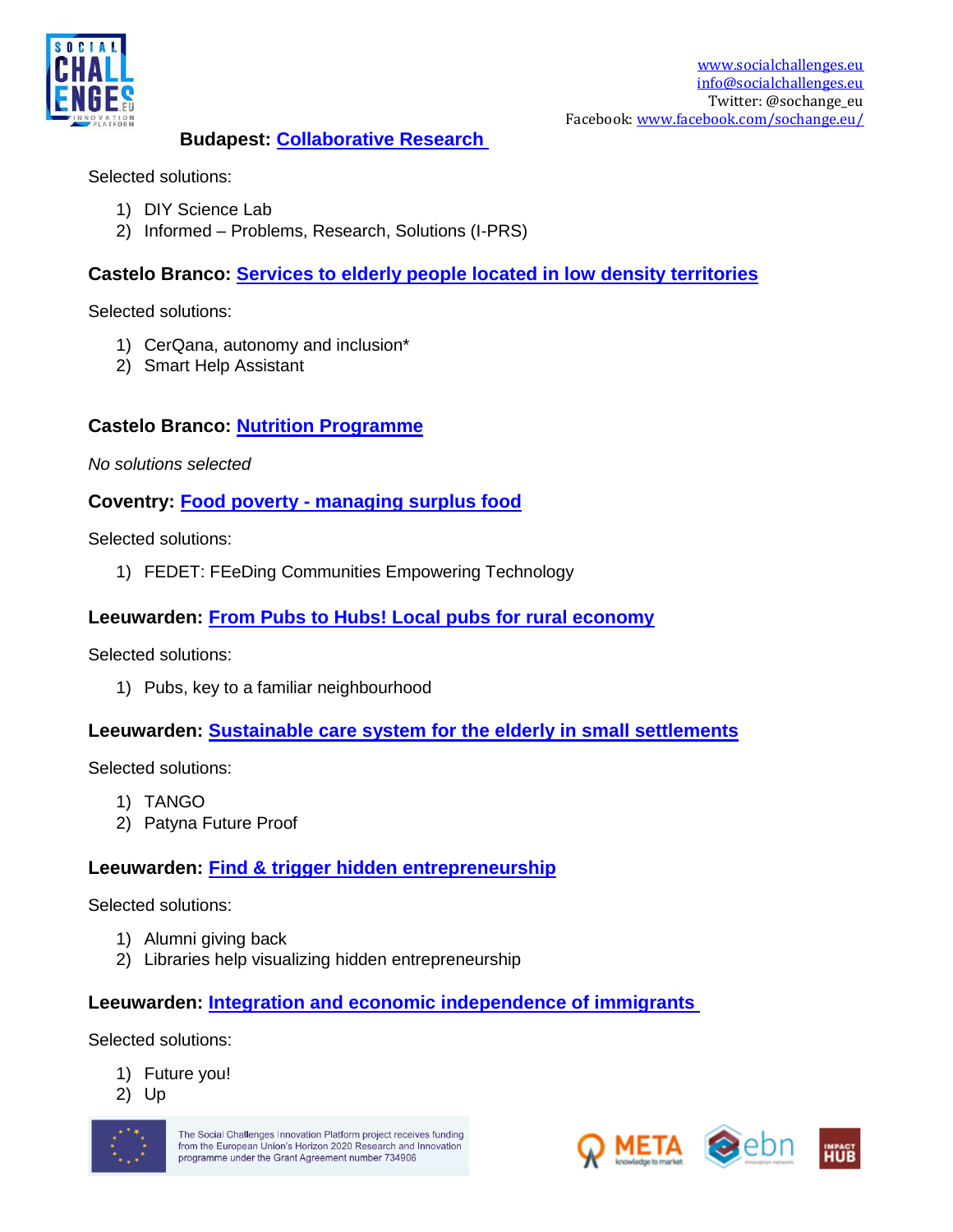

#### **Budapest: [Collaborative Research](https://www.socialchallenges.eu/city/18/Challenges/40)**

Selected solutions:

- 1) DIY Science Lab
- 2) Informed Problems, Research, Solutions (I-PRS)

### **Castelo Branco: [Services to elderly people located in low density territories](https://www.socialchallenges.eu/city/28/Challenges/38)**

Selected solutions:

- 1) CerQana, autonomy and inclusion\*
- 2) Smart Help Assistant

### **Castelo Branco: [Nutrition](https://www.socialchallenges.eu/city/28/Challenges/38) Programme**

*No solutions selected*

**Coventry: Food poverty - [managing surplus food](https://www.socialchallenges.eu/city/26/Challenges/22)**

Selected solutions:

1) FEDET: FEeDing Communities Empowering Technology

#### **Leeuwarden: [From Pubs to Hubs! Local pubs for rural economy](https://www.socialchallenges.eu/city/22/Challenges/28)**

Selected solutions:

1) Pubs, key to a familiar neighbourhood

### **Leeuwarden: [Sustainable care system for the elderly in small settlements](https://www.socialchallenges.eu/city/22/Challenges/33)**

Selected solutions:

- 1) TANGO
- 2) Patyna Future Proof

### **Leeuwarden: [Find & trigger hidden entrepreneurship](https://www.socialchallenges.eu/city/22/Challenges/34)**

Selected solutions:

- 1) Alumni giving back
- 2) Libraries help visualizing hidden entrepreneurship

### **Leeuwarden: [Integration and economic independence of immigrants](https://www.socialchallenges.eu/city/22/Challenges/35)**

Selected solutions:

- 1) Future you!
- 2) Up



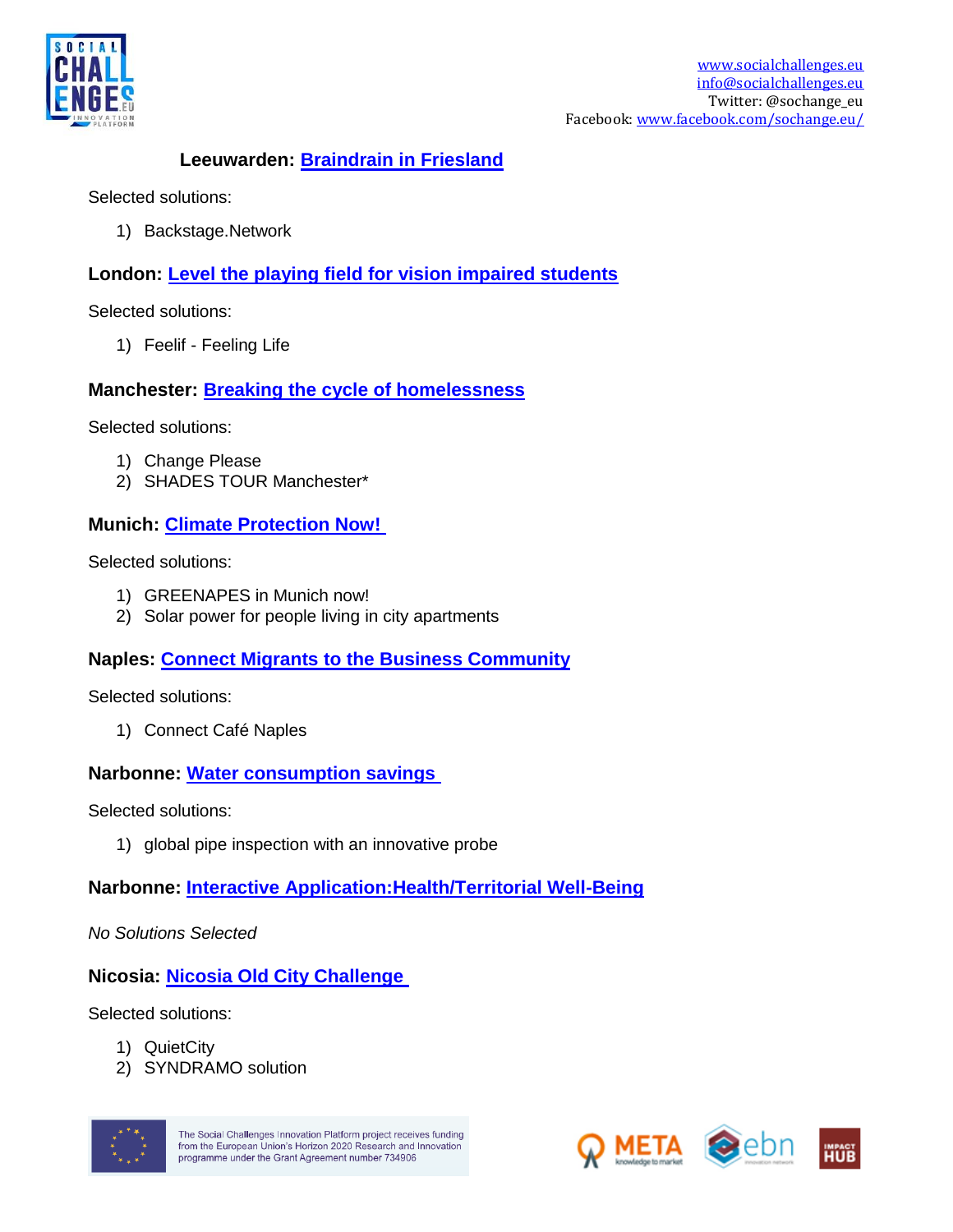

### **Leeuwarden: [Braindrain in Friesland](https://www.socialchallenges.eu/city/22/Challenges/36)**

Selected solutions:

1) Backstage.Network

# **London: [Level the playing field for vision impaired students](https://www.socialchallenges.eu/city/12/Challenges/48)**

Selected solutions:

1) Feelif - Feeling Life

### **Manchester: [Breaking the cycle of homelessness](https://www.socialchallenges.eu/city/32/Challenges/49)**

Selected solutions:

- 1) Change Please
- 2) SHADES TOUR Manchester\*

# **Munich: [Climate Protection Now!](https://www.socialchallenges.eu/city/17/Challenges/37)**

Selected solutions:

- 1) GREENAPES in Munich now!
- 2) Solar power for people living in city apartments

# **Naples: [Connect Migrants to the Business Community](https://www.socialchallenges.eu/city/34/Challenges/45)**

Selected solutions:

1) Connect Café Naples

### **Narbonne: [Water consumption savings](https://www.socialchallenges.eu/city/29/Challenges/16)**

Selected solutions:

1) global pipe inspection with an innovative probe

# **Narbonne: [Interactive Application:Health/Territorial Well-Being](https://www.socialchallenges.eu/city/29/Challenges/17)**

*No Solutions Selected* 

# **Nicosia: [Nicosia Old City Challenge](https://www.socialchallenges.eu/city/27/Challenges/26)**

Selected solutions:

- 1) QuietCity
- 2) SYNDRAMO solution